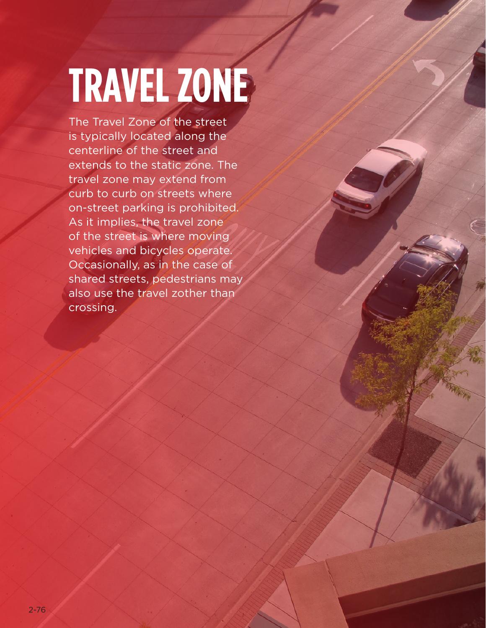## **TRAVEL ZONE**

The Travel Zone of the street is typically located along the centerline of the street and extends to the static zone. The travel zone may extend from curb to curb on streets where on-street parking is prohibited. As it implies, the travel zone of the street is where moving vehicles and bicycles operate. Occasionally, as in the case of shared streets, pedestrians may also use the travel zother than crossing.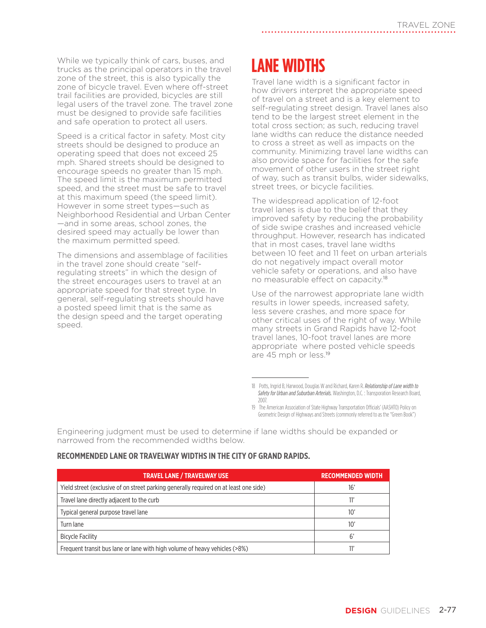While we typically think of cars, buses, and trucks as the principal operators in the travel zone of the street, this is also typically the zone of bicycle travel. Even where off-street trail facilities are provided, bicycles are still legal users of the travel zone. The travel zone must be designed to provide safe facilities and safe operation to protect all users.

Speed is a critical factor in safety. Most city streets should be designed to produce an operating speed that does not exceed 25 mph. Shared streets should be designed to encourage speeds no greater than 15 mph. The speed limit is the maximum permitted speed, and the street must be safe to travel at this maximum speed (the speed limit). However in some street types—such as Neighborhood Residential and Urban Center —and in some areas, school zones, the desired speed may actually be lower than the maximum permitted speed.

The dimensions and assemblage of facilities in the travel zone should create "selfregulating streets" in which the design of the street encourages users to travel at an appropriate speed for that street type. In general, self-regulating streets should have a posted speed limit that is the same as the design speed and the target operating speed.

## **LANE WIDTHS**

Travel lane width is a significant factor in how drivers interpret the appropriate speed of travel on a street and is a key element to self-regulating street design. Travel lanes also tend to be the largest street element in the total cross section; as such, reducing travel lane widths can reduce the distance needed to cross a street as well as impacts on the community. Minimizing travel lane widths can also provide space for facilities for the safe movement of other users in the street right of way, such as transit bulbs, wider sidewalks, street trees, or bicycle facilities.

The widespread application of 12-foot travel lanes is due to the belief that they improved safety by reducing the probability of side swipe crashes and increased vehicle throughput. However, research has indicated that in most cases, travel lane widths between 10 feet and 11 feet on urban arterials do not negatively impact overall motor vehicle safety or operations, and also have no measurable effect on capacity.<sup>18</sup>

Use of the narrowest appropriate lane width results in lower speeds, increased safety, less severe crashes, and more space for other critical uses of the right of way. While many streets in Grand Rapids have 12-foot travel lanes, 10-foot travel lanes are more appropriate where posted vehicle speeds are 45 mph or less.<sup>19</sup>

Engineering judgment must be used to determine if lane widths should be expanded or narrowed from the recommended widths below.

## **RECOMMENDED LANE OR TRAVELWAY WIDTHS IN THE CITY OF GRAND RAPIDS.**

| <b>TRAVEL LANE / TRAVELWAY USE</b>                                                    | <b>RECOMMENDED WIDTH</b> |
|---------------------------------------------------------------------------------------|--------------------------|
| Yield street (exclusive of on street parking generally required on at least one side) | 16'                      |
| Travel lane directly adjacent to the curb                                             | 11'                      |
| Typical general purpose travel lane                                                   | $10^{\circ}$             |
| Turn lane                                                                             | $10^{\circ}$             |
| <b>Bicycle Facility</b>                                                               | 6'                       |
| Frequent transit bus lane or lane with high volume of heavy vehicles (>8%)            |                          |

<sup>18</sup> Potts, Ingrid B, Harwood, Douglas W and Richard, Karen R. *Relationship of Lane width to Safety for Urban and Suburban Arterials.* Washington, D.C. : Transporation Research Board, 2007.

<sup>19</sup> The American Association of State Highway Transportation Officials' (AASHTO) Policy on Geometric Design of Highways and Streets (commonly referred to as the "Green Book")